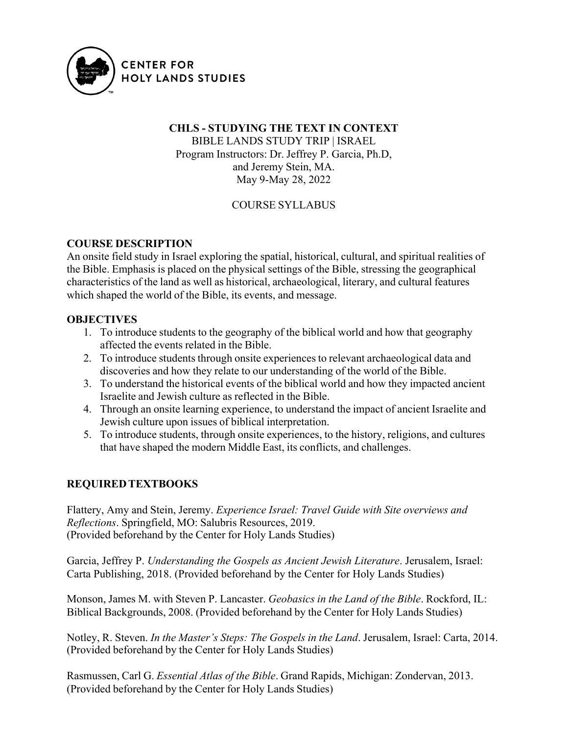

# **CHLS - STUDYING THE TEXT IN CONTEXT**

BIBLE LANDS STUDY TRIP | ISRAEL Program Instructors: Dr. Jeffrey P. Garcia, Ph.D, and Jeremy Stein, MA. May 9-May 28, 2022

#### COURSE SYLLABUS

#### **COURSE DESCRIPTION**

An onsite field study in Israel exploring the spatial, historical, cultural, and spiritual realities of the Bible. Emphasis is placed on the physical settings of the Bible, stressing the geographical characteristics of the land as well as historical, archaeological, literary, and cultural features which shaped the world of the Bible, its events, and message.

#### **OBJECTIVES**

- 1. To introduce students to the geography of the biblical world and how that geography affected the events related in the Bible.
- 2. To introduce students through onsite experiences to relevant archaeological data and discoveries and how they relate to our understanding of the world of the Bible.
- 3. To understand the historical events of the biblical world and how they impacted ancient Israelite and Jewish culture as reflected in the Bible.
- 4. Through an onsite learning experience, to understand the impact of ancient Israelite and Jewish culture upon issues of biblical interpretation.
- 5. To introduce students, through onsite experiences, to the history, religions, and cultures that have shaped the modern Middle East, its conflicts, and challenges.

#### **REQUIREDTEXTBOOKS**

Flattery, Amy and Stein, Jeremy. *Experience Israel: Travel Guide with Site overviews and Reflections*. Springfield, MO: Salubris Resources, 2019. (Provided beforehand by the Center for Holy Lands Studies)

Garcia, Jeffrey P. *Understanding the Gospels as Ancient Jewish Literature*. Jerusalem, Israel: Carta Publishing, 2018. (Provided beforehand by the Center for Holy Lands Studies)

Monson, James M. with Steven P. Lancaster. *Geobasics in the Land of the Bible*. Rockford, IL: Biblical Backgrounds, 2008. (Provided beforehand by the Center for Holy Lands Studies)

Notley, R. Steven. *In the Master's Steps: The Gospels in the Land*. Jerusalem, Israel: Carta, 2014. (Provided beforehand by the Center for Holy Lands Studies)

Rasmussen, Carl G. *Essential Atlas of the Bible*. Grand Rapids, Michigan: Zondervan, 2013. (Provided beforehand by the Center for Holy Lands Studies)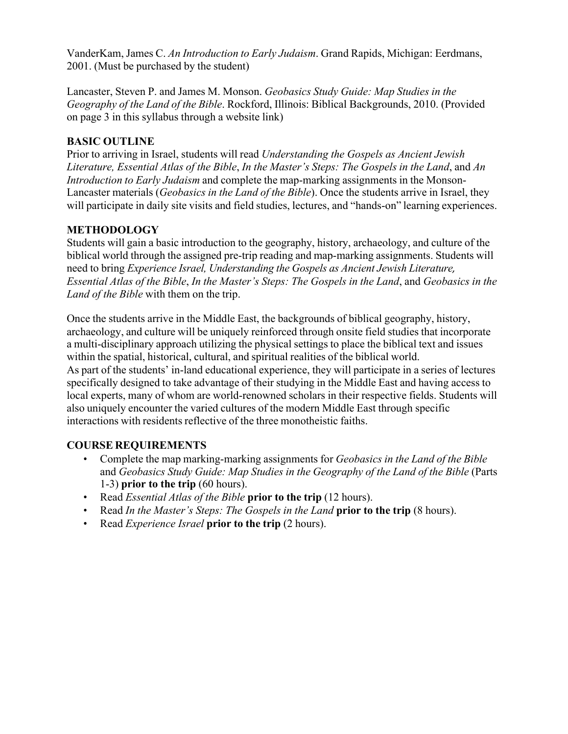VanderKam, James C. *An Introduction to Early Judaism*. Grand Rapids, Michigan: Eerdmans, 2001. (Must be purchased by the student)

Lancaster, Steven P. and James M. Monson. *Geobasics Study Guide: Map Studies in the Geography of the Land of the Bible*. Rockford, Illinois: Biblical Backgrounds, 2010. (Provided on page 3 in this syllabus through a website link)

#### **BASIC OUTLINE**

Prior to arriving in Israel, students will read *Understanding the Gospels as Ancient Jewish Literature, Essential Atlas of the Bible*, *In the Master's Steps: The Gospels in the Land*, and *An Introduction to Early Judaism* and complete the map-marking assignments in the Monson-Lancaster materials (*Geobasics in the Land of the Bible*). Once the students arrive in Israel, they will participate in daily site visits and field studies, lectures, and "hands-on" learning experiences.

# **METHODOLOGY**

Students will gain a basic introduction to the geography, history, archaeology, and culture of the biblical world through the assigned pre-trip reading and map-marking assignments. Students will need to bring *Experience Israel, Understanding the Gospels as Ancient Jewish Literature, Essential Atlas of the Bible*, *In the Master's Steps: The Gospels in the Land*, and *Geobasics in the Land of the Bible* with them on the trip.

Once the students arrive in the Middle East, the backgrounds of biblical geography, history, archaeology, and culture will be uniquely reinforced through onsite field studies that incorporate a multi-disciplinary approach utilizing the physical settings to place the biblical text and issues within the spatial, historical, cultural, and spiritual realities of the biblical world. As part of the students' in-land educational experience, they will participate in a series of lectures specifically designed to take advantage of their studying in the Middle East and having access to local experts, many of whom are world-renowned scholars in their respective fields. Students will also uniquely encounter the varied cultures of the modern Middle East through specific interactions with residents reflective of the three monotheistic faiths.

# **COURSE REQUIREMENTS**

- Complete the map marking-marking assignments for *Geobasics in the Land of the Bible* and *Geobasics Study Guide: Map Studies in the Geography of the Land of the Bible* (Parts 1-3) **prior to the trip** (60 hours).
- Read *Essential Atlas of the Bible* **prior to the trip** (12 hours).
- Read *In the Master's Steps: The Gospels in the Land* **prior to the trip** (8 hours).
- Read *Experience Israel* **prior to the trip** (2 hours).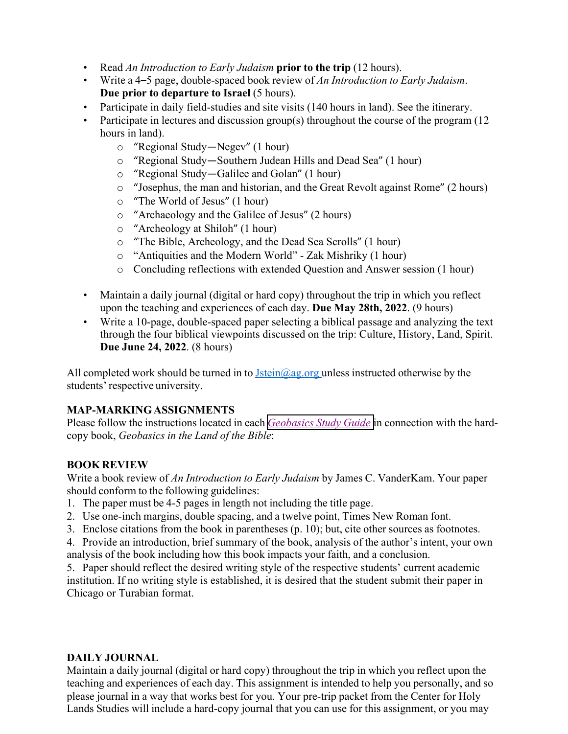- Read *An Introduction to Early Judaism* **prior to the trip** (12 hours).
- Write a 4–5 page, double-spaced book review of *An Introduction to Early Judaism*. **Due prior to departure to Israel** (5 hours).
- Participate in daily field-studies and site visits (140 hours in land). See the itinerary.
- Participate in lectures and discussion group(s) throughout the course of the program (12 hours in land).
	- o "Regional Study—Negev" (1 hour)
	- o "Regional Study—Southern Judean Hills and Dead Sea" (1 hour)
	- o "Regional Study—Galilee and Golan" (1 hour)
	- o "Josephus, the man and historian, and the Great Revolt against Rome" (2 hours)
	- o "The World of Jesus" (1 hour)
	- o "Archaeology and the Galilee of Jesus" (2 hours)
	- o "Archeology at Shiloh" (1 hour)
	- o "The Bible, Archeology, and the Dead Sea Scrolls" (1 hour)
	- o "Antiquities and the Modern World" Zak Mishriky (1 hour)
	- o Concluding reflections with extended Question and Answer session (1 hour)
- Maintain a daily journal (digital or hard copy) throughout the trip in which you reflect upon the teaching and experiences of each day. **Due May 28th, 2022**. (9 hours)
- Write a 10-page, double-spaced paper selecting a biblical passage and analyzing the text through the four biblical viewpoints discussed on the trip: Culture, History, Land, Spirit. **Due June 24, 2022**. (8 hours)

All completed work should be turned in to  $Jstein(\partial_{\partial q}, org$  unless instructed otherwise by the students' respective university.

# **MAP-MARKINGASSIGNMENTS**

Please follow the instructions located in each *[Geobasics](https://www.dropbox.com/s/hqa04ciwbo381d0/Geobasics%20Study%20Guide.pdf?dl=0) Study Guide* in connection with the hardcopy book, *Geobasics in the Land of the Bible*:

# **BOOKREVIEW**

Write a book review of *An Introduction to Early Judaism* by James C. VanderKam. Your paper should conform to the following guidelines:

- 1. The paper must be 4-5 pages in length not including the title page.
- 2. Use one-inch margins, double spacing, and a twelve point, Times New Roman font.
- 3. Enclose citations from the book in parentheses (p. 10); but, cite other sources as footnotes.
- 4. Provide an introduction, brief summary of the book, analysis of the author's intent, your own analysis of the book including how this book impacts your faith, and a conclusion.

5. Paper should reflect the desired writing style of the respective students' current academic institution. If no writing style is established, it is desired that the student submit their paper in Chicago or Turabian format.

# **DAILY JOURNAL**

Maintain a daily journal (digital or hard copy) throughout the trip in which you reflect upon the teaching and experiences of each day. This assignment is intended to help you personally, and so please journal in a way that works best for you. Your pre-trip packet from the Center for Holy Lands Studies will include a hard-copy journal that you can use for this assignment, or you may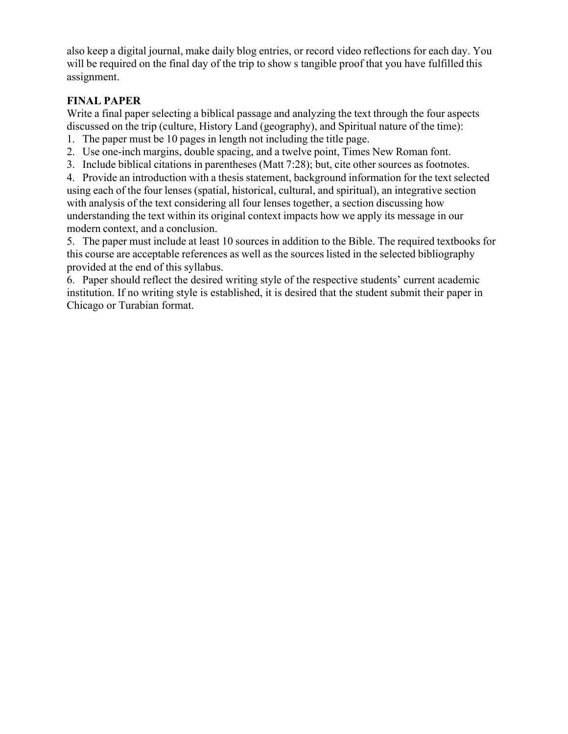also keep a digital journal, make daily blog entries, or record video reflections for each day. You will be required on the final day of the trip to show s tangible proof that you have fulfilled this assignment.

### **FINAL PAPER**

Write a final paper selecting a biblical passage and analyzing the text through the four aspects discussed on the trip (culture, History Land (geography), and Spiritual nature of the time):

- 1. The paper must be 10 pages in length not including the title page.
- 2. Use one-inch margins, double spacing, and a twelve point, Times New Roman font.
- 3. Include biblical citations in parentheses (Matt 7:28); but, cite other sources as footnotes.

4. Provide an introduction with a thesis statement, background information for the text selected using each of the four lenses (spatial, historical, cultural, and spiritual), an integrative section with analysis of the text considering all four lenses together, a section discussing how understanding the text within its original context impacts how we apply its message in our modern context, and a conclusion.

5. The paper must include at least 10 sources in addition to the Bible. The required textbooks for this course are acceptable references as well as the sources listed in the selected bibliography provided at the end of this syllabus.

6. Paper should reflect the desired writing style of the respective students' current academic institution. If no writing style is established, it is desired that the student submit their paper in Chicago or Turabian format.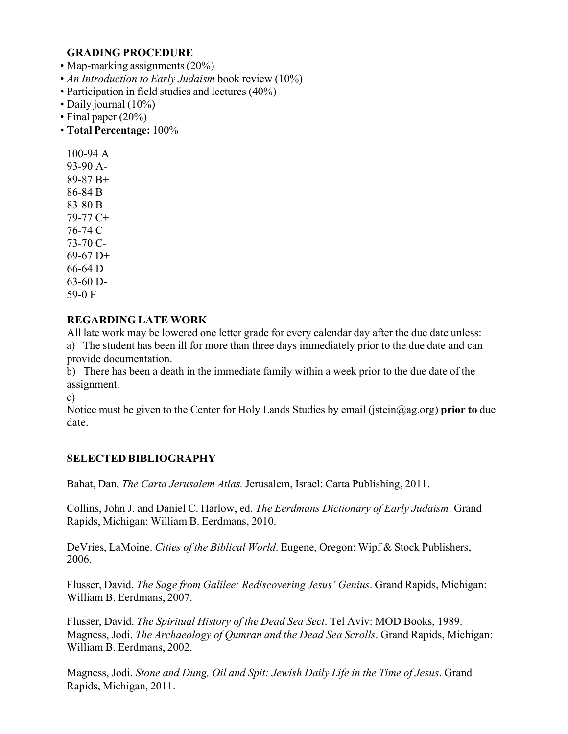#### **GRADING PROCEDURE**

- Map-marking assignments (20%)
- *An Introduction to Early Judaism* book review (10%)
- Participation in field studies and lectures (40%)
- Daily journal (10%)
- Final paper (20%)
- **Total Percentage:** 100%

100-94 A 93-90 A-89-87 B+ 86-84 B 83-80 B-79-77 C+ 76-74 C 73-70 C-69-67 D+ 66-64 D 63-60 D-59-0 F

#### **REGARDING LATE WORK**

All late work may be lowered one letter grade for every calendar day after the due date unless: a) The student has been ill for more than three days immediately prior to the due date and can provide documentation.

b) There has been a death in the immediate family within a week prior to the due date of the assignment.

c)

Notice must be given to the Center for Holy Lands Studies by email (jstein@ag.org) **prior to** due date.

#### **SELECTED BIBLIOGRAPHY**

Bahat, Dan, *The Carta Jerusalem Atlas.* Jerusalem, Israel: Carta Publishing, 2011.

Collins, John J. and Daniel C. Harlow, ed. *The Eerdmans Dictionary of Early Judaism*. Grand Rapids, Michigan: William B. Eerdmans, 2010.

DeVries, LaMoine. *Cities of the Biblical World*. Eugene, Oregon: Wipf & Stock Publishers, 2006.

Flusser, David. *The Sage from Galilee: Rediscovering Jesus' Genius*. Grand Rapids, Michigan: William B. Eerdmans, 2007.

Flusser, David. *The Spiritual History of the Dead Sea Sect*. Tel Aviv: MOD Books, 1989. Magness, Jodi. *The Archaeology of Qumran and the Dead Sea Scrolls*. Grand Rapids, Michigan: William B. Eerdmans, 2002.

Magness, Jodi. *Stone and Dung, Oil and Spit: Jewish Daily Life in the Time of Jesus*. Grand Rapids, Michigan, 2011.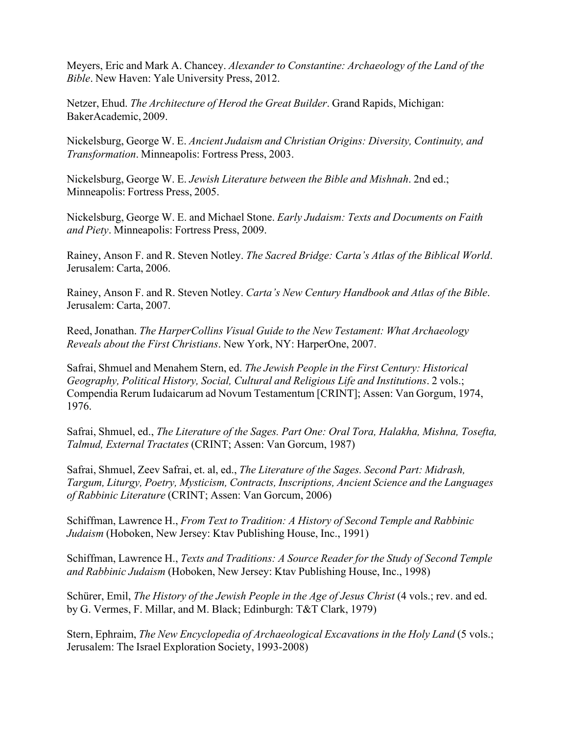Meyers, Eric and Mark A. Chancey. *Alexander to Constantine: Archaeology of the Land of the Bible*. New Haven: Yale University Press, 2012.

Netzer, Ehud. *The Architecture of Herod the Great Builder*. Grand Rapids, Michigan: BakerAcademic, 2009.

Nickelsburg, George W. E. *Ancient Judaism and Christian Origins: Diversity, Continuity, and Transformation*. Minneapolis: Fortress Press, 2003.

Nickelsburg, George W. E. *Jewish Literature between the Bible and Mishnah*. 2nd ed.; Minneapolis: Fortress Press, 2005.

Nickelsburg, George W. E. and Michael Stone. *Early Judaism: Texts and Documents on Faith and Piety*. Minneapolis: Fortress Press, 2009.

Rainey, Anson F. and R. Steven Notley. *The Sacred Bridge: Carta's Atlas of the Biblical World*. Jerusalem: Carta, 2006.

Rainey, Anson F. and R. Steven Notley. *Carta's New Century Handbook and Atlas of the Bible*. Jerusalem: Carta, 2007.

Reed, Jonathan. *The HarperCollins Visual Guide to the New Testament: What Archaeology Reveals about the First Christians*. New York, NY: HarperOne, 2007.

Safrai, Shmuel and Menahem Stern, ed. *The Jewish People in the First Century: Historical Geography, Political History, Social, Cultural and Religious Life and Institutions*. 2 vols.; Compendia Rerum Iudaicarum ad Novum Testamentum [CRINT]; Assen: Van Gorgum, 1974, 1976.

Safrai, Shmuel, ed., *The Literature of the Sages. Part One: Oral Tora, Halakha, Mishna, Tosefta, Talmud, External Tractates* (CRINT; Assen: Van Gorcum, 1987)

Safrai, Shmuel, Zeev Safrai, et. al, ed., *The Literature of the Sages. Second Part: Midrash, Targum, Liturgy, Poetry, Mysticism, Contracts, Inscriptions, Ancient Science and the Languages of Rabbinic Literature* (CRINT; Assen: Van Gorcum, 2006)

Schiffman, Lawrence H., *From Text to Tradition: A History of Second Temple and Rabbinic Judaism* (Hoboken, New Jersey: Ktav Publishing House, Inc., 1991)

Schiffman, Lawrence H., *Texts and Traditions: A Source Reader for the Study of Second Temple and Rabbinic Judaism* (Hoboken, New Jersey: Ktav Publishing House, Inc., 1998)

Schürer, Emil, *The History of the Jewish People in the Age of Jesus Christ* (4 vols.; rev. and ed. by G. Vermes, F. Millar, and M. Black; Edinburgh: T&T Clark, 1979)

Stern, Ephraim, *The New Encyclopedia of Archaeological Excavations in the Holy Land* (5 vols.; Jerusalem: The Israel Exploration Society, 1993-2008)